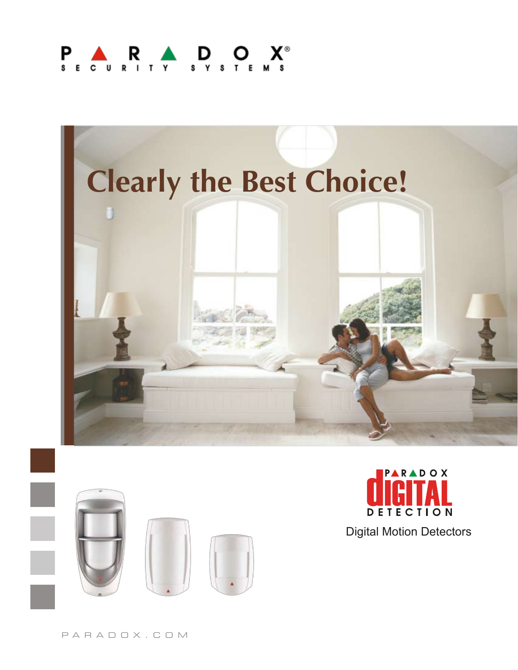#### $\begin{array}{ccc} \cdot & R & \cdot & D & O \\ \cdot & \cdot & \cdot & \cdot & \cdot & \cdot \\ \cdot & \cdot & \cdot & \cdot & \cdot & \cdot \end{array}$ P  $\mathbf{c}$







Digital Motion Detectors